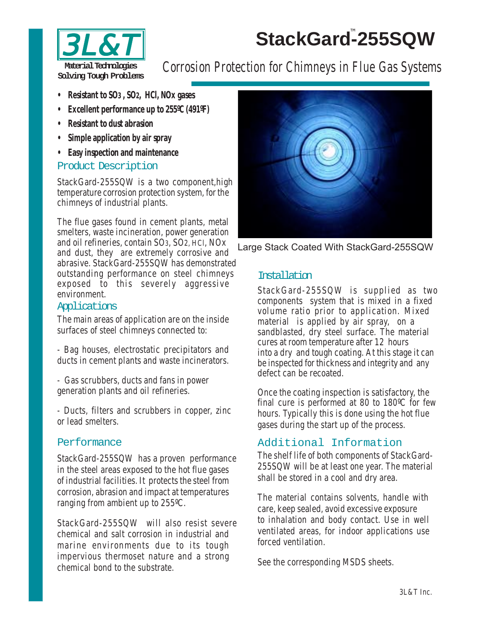# StackGard<sup>™</sup>255SQW



Material Technologies **Corrosion Protection for Chimneys in Flue Gas Systems** 

- **• Resistant to SO3 , SO2, HCl, NOx gases**
- **• Excellent performance up to 255ºC (491ºF)**
- **• Resistant to dust abrasion**
- **• Simple application by air spray**
- **• Easy inspection and maintenance**

#### Product Description

StackGard-255SQW is a two component,high temperature corrosion protection system, for the chimneys of industrial plants.

The flue gases found in cement plants, metal smelters, waste incineration, power generation and oil refineries, contain SO3, SO2, HCl, NOx and dust, they are extremely corrosive and abrasive. StackGard-255SQW has demonstrated outstanding performance on steel chimneys exposed to this severely aggressive environment.

## Applications

The main areas of application are on the inside surfaces of steel chimneys connected to:

- Bag houses, electrostatic precipitators and ducts in cement plants and waste incinerators.

- Gas scrubbers, ducts and fans in power generation plants and oil refineries.

- Ducts, filters and scrubbers in copper, zinc or lead smelters.

## Performance

StackGard-255SQW has a proven performance in the steel areas exposed to the hot flue gases of industrial facilities. It protects the steel from corrosion, abrasion and impact at temperatures ranging from ambient up to 255ºC.

StackGard-255SQW will also resist severe chemical and salt corrosion in industrial and marine environments due to its tough impervious thermoset nature and a strong chemical bond to the substrate.



Large Stack Coated With StackGard-255SQW

## **Installation**

StackGard-255SQW is supplied as two components system that is mixed in a fixed volume ratio prior to application. Mixed material is applied by air spray, on a sandblasted, dry steel surface. The material cures at room temperature after 12 hours into a dry and tough coating. At this stage it can be inspected for thickness and integrity and any defect can be recoated.

Once the coating inspection is satisfactory, the final cure is performed at 80 to 180ºC for few hours. Typically this is done using the hot flue gases during the start up of the process.

# Additional Information

The shelf life of both components of StackGard-255SQW will be at least one year. The material shall be stored in a cool and dry area.

The material contains solvents, handle with care, keep sealed, avoid excessive exposure to inhalation and body contact. Use in well ventilated areas, for indoor applications use forced ventilation.

See the corresponding MSDS sheets.